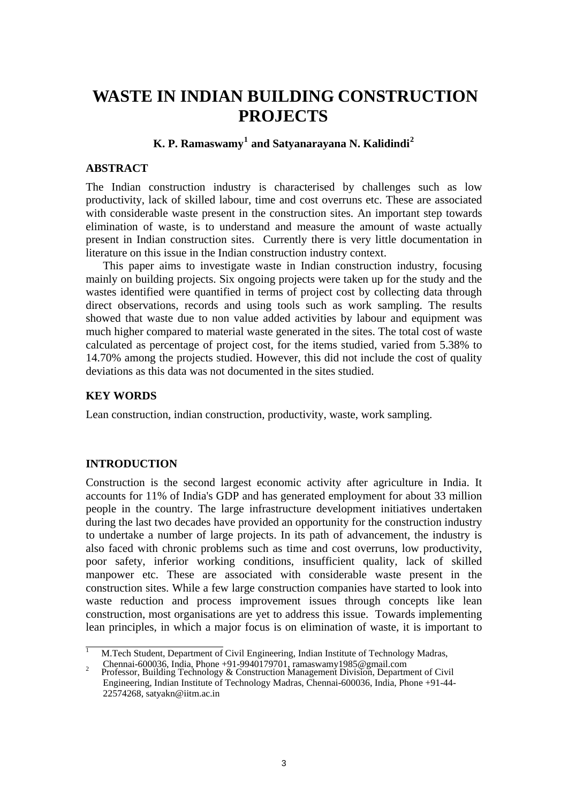# **WASTE IN INDIAN BUILDING CONSTRUCTION PROJECTS**

# **K. P. Ramaswamy[1](#page-0-0) and Satyanarayana N. Kalidindi[2](#page-0-1)**

### **ABSTRACT**

The Indian construction industry is characterised by challenges such as low productivity, lack of skilled labour, time and cost overruns etc. These are associated with considerable waste present in the construction sites. An important step towards elimination of waste, is to understand and measure the amount of waste actually present in Indian construction sites. Currently there is very little documentation in literature on this issue in the Indian construction industry context.

This paper aims to investigate waste in Indian construction industry, focusing mainly on building projects. Six ongoing projects were taken up for the study and the wastes identified were quantified in terms of project cost by collecting data through direct observations, records and using tools such as work sampling. The results showed that waste due to non value added activities by labour and equipment was much higher compared to material waste generated in the sites. The total cost of waste calculated as percentage of project cost, for the items studied, varied from 5.38% to 14.70% among the projects studied. However, this did not include the cost of quality deviations as this data was not documented in the sites studied.

## **KEY WORDS**

Lean construction, indian construction, productivity, waste, work sampling.

## **INTRODUCTION**

Construction is the second largest economic activity after agriculture in India. It accounts for 11% of India's GDP and has generated employment for about 33 million people in the country. The large infrastructure development initiatives undertaken during the last two decades have provided an opportunity for the construction industry to undertake a number of large projects. In its path of advancement, the industry is also faced with chronic problems such as time and cost overruns, low productivity, poor safety, inferior working conditions, insufficient quality, lack of skilled manpower etc. These are associated with considerable waste present in the construction sites. While a few large construction companies have started to look into waste reduction and process improvement issues through concepts like lean construction, most organisations are yet to address this issue. Towards implementing lean principles, in which a major focus is on elimination of waste, it is important to

<span id="page-0-0"></span>1 M.Tech Student, Department of Civil Engineering, Indian Institute of Technology Madras, 2 Chennai-600036, India, Phone +91-9940179701, ramaswamy1985@gmail.com<br>Professor, Building Technology & Construction Management Division, Department of Civil

<span id="page-0-1"></span>Engineering, Indian Institute of Technology Madras, Chennai-600036, India, Phone +91-44- 22574268, satyakn@iitm.ac.in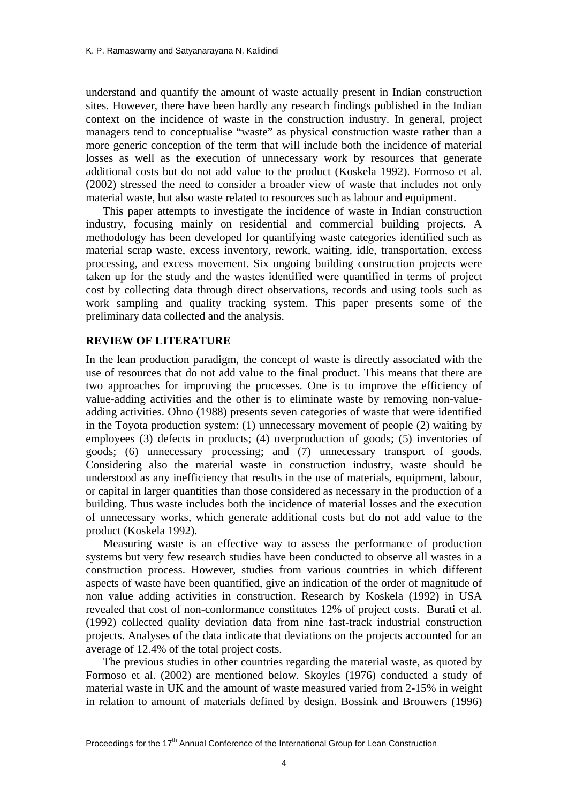understand and quantify the amount of waste actually present in Indian construction sites. However, there have been hardly any research findings published in the Indian context on the incidence of waste in the construction industry. In general, project managers tend to conceptualise "waste" as physical construction waste rather than a more generic conception of the term that will include both the incidence of material losses as well as the execution of unnecessary work by resources that generate additional costs but do not add value to the product (Koskela 1992). Formoso et al. (2002) stressed the need to consider a broader view of waste that includes not only material waste, but also waste related to resources such as labour and equipment.

This paper attempts to investigate the incidence of waste in Indian construction industry, focusing mainly on residential and commercial building projects. A methodology has been developed for quantifying waste categories identified such as material scrap waste, excess inventory, rework, waiting, idle, transportation, excess processing, and excess movement. Six ongoing building construction projects were taken up for the study and the wastes identified were quantified in terms of project cost by collecting data through direct observations, records and using tools such as work sampling and quality tracking system. This paper presents some of the preliminary data collected and the analysis.

## **REVIEW OF LITERATURE**

In the lean production paradigm, the concept of waste is directly associated with the use of resources that do not add value to the final product. This means that there are two approaches for improving the processes. One is to improve the efficiency of value-adding activities and the other is to eliminate waste by removing non-valueadding activities. Ohno (1988) presents seven categories of waste that were identified in the Toyota production system: (1) unnecessary movement of people (2) waiting by employees (3) defects in products; (4) overproduction of goods; (5) inventories of goods; (6) unnecessary processing; and (7) unnecessary transport of goods. Considering also the material waste in construction industry, waste should be understood as any inefficiency that results in the use of materials, equipment, labour, or capital in larger quantities than those considered as necessary in the production of a building. Thus waste includes both the incidence of material losses and the execution of unnecessary works, which generate additional costs but do not add value to the product (Koskela 1992).

Measuring waste is an effective way to assess the performance of production systems but very few research studies have been conducted to observe all wastes in a construction process. However, studies from various countries in which different aspects of waste have been quantified, give an indication of the order of magnitude of non value adding activities in construction. Research by Koskela (1992) in USA revealed that cost of non-conformance constitutes 12% of project costs. Burati et al. (1992) collected quality deviation data from nine fast-track industrial construction projects. Analyses of the data indicate that deviations on the projects accounted for an average of 12.4% of the total project costs.

The previous studies in other countries regarding the material waste, as quoted by Formoso et al. (2002) are mentioned below. Skoyles (1976) conducted a study of material waste in UK and the amount of waste measured varied from 2-15% in weight in relation to amount of materials defined by design. Bossink and Brouwers (1996)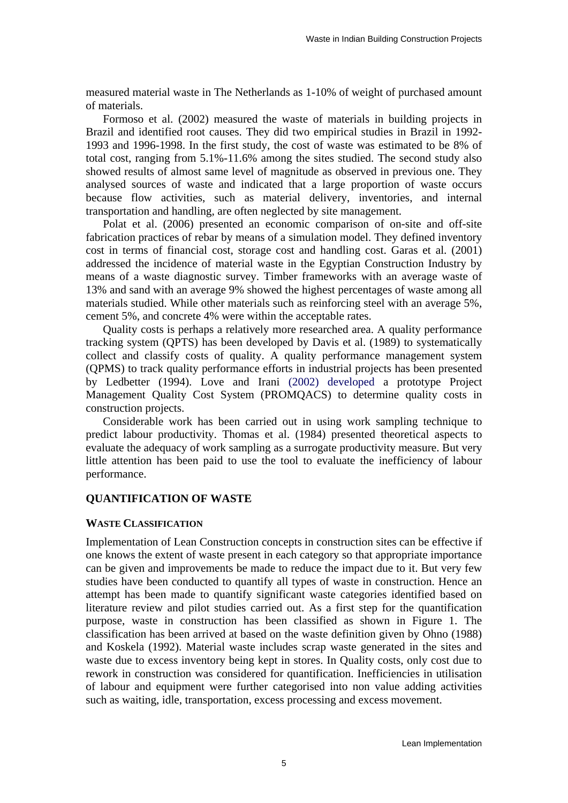measured material waste in The Netherlands as 1-10% of weight of purchased amount of materials.

Formoso et al. (2002) measured the waste of materials in building projects in Brazil and identified root causes. They did two empirical studies in Brazil in 1992- 1993 and 1996-1998. In the first study, the cost of waste was estimated to be 8% of total cost, ranging from 5.1%-11.6% among the sites studied. The second study also showed results of almost same level of magnitude as observed in previous one. They analysed sources of waste and indicated that a large proportion of waste occurs because flow activities, such as material delivery, inventories, and internal transportation and handling, are often neglected by site management.

Polat et al. (2006) presented an economic comparison of on-site and off-site fabrication practices of rebar by means of a simulation model. They defined inventory cost in terms of financial cost, storage cost and handling cost. Garas et al. (2001) addressed the incidence of material waste in the Egyptian Construction Industry by means of a waste diagnostic survey. Timber frameworks with an average waste of 13% and sand with an average 9% showed the highest percentages of waste among all materials studied. While other materials such as reinforcing steel with an average 5%, cement 5%, and concrete 4% were within the acceptable rates.

Quality costs is perhaps a relatively more researched area. A quality performance tracking system (QPTS) has been developed by Davis et al. (1989) to systematically collect and classify costs of quality. A quality performance management system (QPMS) to track quality performance efforts in industrial projects has been presented by Ledbetter (1994). Love and Irani (2002) developed a prototype Project Management Quality Cost System (PROMQACS) to determine quality costs in construction projects.

Considerable work has been carried out in using work sampling technique to predict labour productivity. Thomas et al. (1984) presented theoretical aspects to evaluate the adequacy of work sampling as a surrogate productivity measure. But very little attention has been paid to use the tool to evaluate the inefficiency of labour performance.

## **QUANTIFICATION OF WASTE**

#### **WASTE CLASSIFICATION**

Implementation of Lean Construction concepts in construction sites can be effective if one knows the extent of waste present in each category so that appropriate importance can be given and improvements be made to reduce the impact due to it. But very few studies have been conducted to quantify all types of waste in construction. Hence an attempt has been made to quantify significant waste categories identified based on literature review and pilot studies carried out. As a first step for the quantification purpose, waste in construction has been classified as shown in Figure 1. The classification has been arrived at based on the waste definition given by Ohno (1988) and Koskela (1992). Material waste includes scrap waste generated in the sites and waste due to excess inventory being kept in stores. In Quality costs, only cost due to rework in construction was considered for quantification. Inefficiencies in utilisation of labour and equipment were further categorised into non value adding activities such as waiting, idle, transportation, excess processing and excess movement.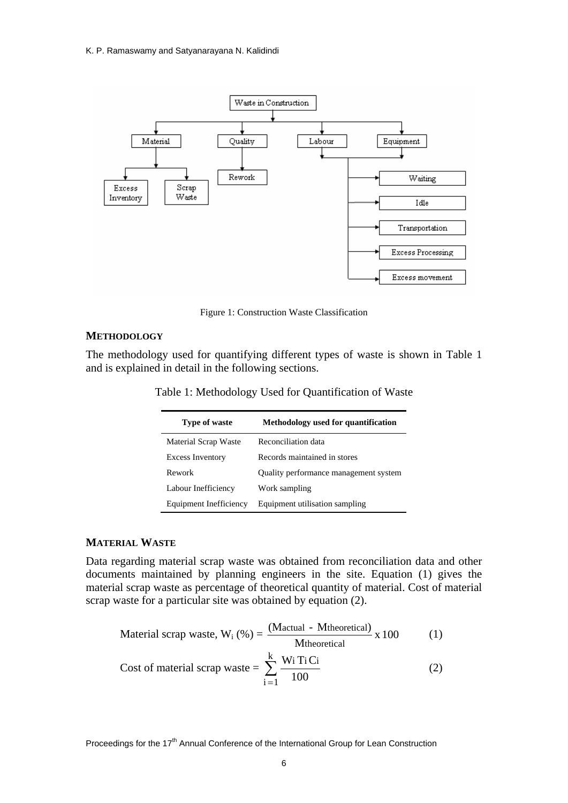

Figure 1: Construction Waste Classification

#### **METHODOLOGY**

The methodology used for quantifying different types of waste is shown in Table 1 and is explained in detail in the following sections.

|  | Table 1: Methodology Used for Quantification of Waste |  |  |  |
|--|-------------------------------------------------------|--|--|--|
|--|-------------------------------------------------------|--|--|--|

| <b>Type of waste</b>    | Methodology used for quantification   |
|-------------------------|---------------------------------------|
| Material Scrap Waste    | Reconciliation data                   |
| <b>Excess Inventory</b> | Records maintained in stores          |
| Rework                  | Quality performance management system |
| Labour Inefficiency     | Work sampling                         |
| Equipment Inefficiency  | Equipment utilisation sampling        |

## **MATERIAL WASTE**

Data regarding material scrap waste was obtained from reconciliation data and other documents maintained by planning engineers in the site. Equation (1) gives the material scrap waste as percentage of theoretical quantity of material. Cost of material scrap waste for a particular site was obtained by equation (2).

$$
Material scrap waste, Wi (%) = \frac{(Mactual - Mtheoretical)}{Mtheoretical} x 100
$$
 (1)

Cost of material scrap waste = 
$$
\sum_{i=1}^{k} \frac{W_i T_i C_i}{100}
$$
 (2)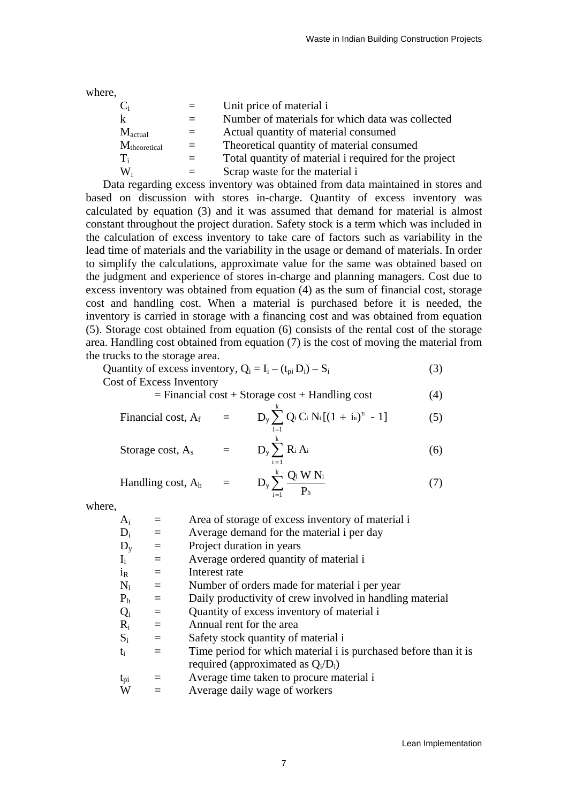where,

|                           | $=$ $-$  | Unit price of material i                              |
|---------------------------|----------|-------------------------------------------------------|
| k                         |          | Number of materials for which data was collected      |
| $M_{\text{actual}}$       | $=$      | Actual quantity of material consumed                  |
| $M_{\text{theoretical}}$  | $\equiv$ | Theoretical quantity of material consumed             |
| $T_i$                     |          | Total quantity of material i required for the project |
| $\mathrm{W}_{\mathrm{i}}$ | $=$      | Scrap waste for the material i                        |
|                           |          |                                                       |

Data regarding excess inventory was obtained from data maintained in stores and based on discussion with stores in-charge. Quantity of excess inventory was calculated by equation (3) and it was assumed that demand for material is almost constant throughout the project duration. Safety stock is a term which was included in the calculation of excess inventory to take care of factors such as variability in the lead time of materials and the variability in the usage or demand of materials. In order to simplify the calculations, approximate value for the same was obtained based on the judgment and experience of stores in-charge and planning managers. Cost due to excess inventory was obtained from equation (4) as the sum of financial cost, storage cost and handling cost. When a material is purchased before it is needed, the inventory is carried in storage with a financing cost and was obtained from equation (5). Storage cost obtained from equation (6) consists of the rental cost of the storage area. Handling cost obtained from equation (7) is the cost of moving the material from the trucks to the storage area.

Quantity of excess inventory,  $Q_i = I_i - (t_{ni} D_i) - S_i$  (3) Cost of Excess Inventory

$$
= Financial cost + Storage cost + Handling cost \tag{4}
$$

Financial cost, 
$$
A_f
$$
 =  $D_y \sum_{i=1}^{k} Q_i C_i N_i [(1 + i_R)^{t_i} - 1]$  (5)

Storage cost,  $A_s$  =  $D_y \sum_{i=1}^{k} R_i A_i$  (6)  $i=1$  $R_i A_i$ 

Handling cost,  $A_h$  =

$$
D_{y} \sum_{i=1}^{k} \frac{Q_{i} W N_{i}}{P_{h}}
$$
 (7)

where,

| $\rm A_i$                 | $=$      | Area of storage of excess inventory of material i               |
|---------------------------|----------|-----------------------------------------------------------------|
|                           |          |                                                                 |
| $D_i$                     | $\equiv$ | Average demand for the material i per day                       |
| $\rm D_{y}$               | $\equiv$ | Project duration in years                                       |
| $\mathbf{I}_{\mathbf{i}}$ | $=$      | Average ordered quantity of material i                          |
| i <sub>R</sub>            | $=$      | Interest rate                                                   |
| $N_i$                     | $\equiv$ | Number of orders made for material i per year                   |
| P <sub>h</sub>            | $\equiv$ | Daily productivity of crew involved in handling material        |
| $Q_i$                     | $\equiv$ | Quantity of excess inventory of material i                      |
| $\rm R_i$                 | $\equiv$ | Annual rent for the area                                        |
| $S_i$                     | $\equiv$ | Safety stock quantity of material i                             |
| ti                        | $\equiv$ | Time period for which material i is purchased before than it is |
|                           |          | required (approximated as $Q_i/D_i$ )                           |
| $\rm t_{\rm pi}$          | $\equiv$ | Average time taken to procure material i                        |
| W                         |          | Average daily wage of workers                                   |
|                           |          |                                                                 |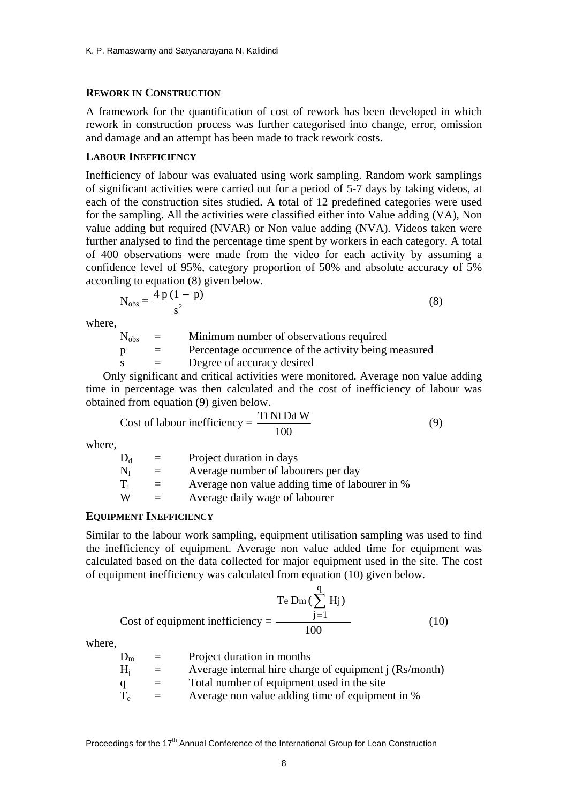#### **REWORK IN CONSTRUCTION**

A framework for the quantification of cost of rework has been developed in which rework in construction process was further categorised into change, error, omission and damage and an attempt has been made to track rework costs.

#### **LABOUR INEFFICIENCY**

Inefficiency of labour was evaluated using work sampling. Random work samplings of significant activities were carried out for a period of 5-7 days by taking videos, at each of the construction sites studied. A total of 12 predefined categories were used for the sampling. All the activities were classified either into Value adding (VA), Non value adding but required (NVAR) or Non value adding (NVA). Videos taken were further analysed to find the percentage time spent by workers in each category. A total of 400 observations were made from the video for each activity by assuming a confidence level of 95%, category proportion of 50% and absolute accuracy of 5% according to equation (8) given below.

$$
N_{obs} = \frac{4 p (1 - p)}{s^2}
$$
 (8)

where,

| $N_{obs}$    | $=$ | Minimum number of observations required              |
|--------------|-----|------------------------------------------------------|
| <sup>p</sup> | $=$ | Percentage occurrence of the activity being measured |
|              |     | Degree of accuracy desired                           |
|              |     |                                                      |

Only significant and critical activities were monitored. Average non value adding time in percentage was then calculated and the cost of inefficiency of labour was obtained from equation (9) given below.

Cost of labour inefficiency = 
$$
\frac{T1 \text{ Ni Dd W}}{100}
$$
 (9)

where,

| $\mathrm{D}_{\mathrm{d}}$ | $=$ | Project duration in days                       |
|---------------------------|-----|------------------------------------------------|
| $\rm N_{1}$               | $=$ | Average number of labourers per day            |
| $\rm T_1$                 | $=$ | Average non value adding time of labourer in % |
| W                         | $=$ | Average daily wage of labourer                 |
|                           |     |                                                |

#### **EQUIPMENT INEFFICIENCY**

Similar to the labour work sampling, equipment utilisation sampling was used to find the inefficiency of equipment. Average non value added time for equipment was calculated based on the data collected for major equipment used in the site. The cost of equipment inefficiency was calculated from equation (10) given below.

$$
T_e D_m \left(\sum_{j=1}^{q} H_j\right)
$$
  
Cost of equipment inefficiency = 
$$
\frac{1}{100}
$$
 (10)

where,

| $\rm D_m$ | $=$ | Project duration in months                             |
|-----------|-----|--------------------------------------------------------|
| $H_i$     | $=$ | Average internal hire charge of equipment j (Rs/month) |
| a         |     | Total number of equipment used in the site             |
| $\rm T_e$ | $=$ | Average non value adding time of equipment in %        |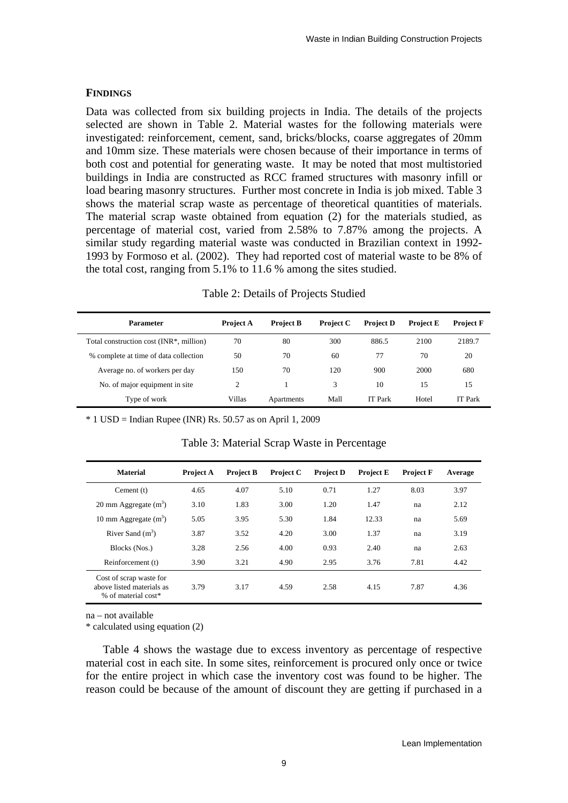## **FINDINGS**

Data was collected from six building projects in India. The details of the projects selected are shown in Table 2. Material wastes for the following materials were investigated: reinforcement, cement, sand, bricks/blocks, coarse aggregates of 20mm and 10mm size. These materials were chosen because of their importance in terms of both cost and potential for generating waste. It may be noted that most multistoried buildings in India are constructed as RCC framed structures with masonry infill or load bearing masonry structures. Further most concrete in India is job mixed. Table 3 shows the material scrap waste as percentage of theoretical quantities of materials. The material scrap waste obtained from equation (2) for the materials studied, as percentage of material cost, varied from 2.58% to 7.87% among the projects. A similar study regarding material waste was conducted in Brazilian context in 1992- 1993 by Formoso et al. (2002). They had reported cost of material waste to be 8% of the total cost, ranging from 5.1% to 11.6 % among the sites studied.

| Table 2: Details of Projects Studied |  |
|--------------------------------------|--|
|--------------------------------------|--|

| Parameter                                            | <b>Project A</b> | <b>Project B</b> | <b>Project C</b> | <b>Project D</b> | <b>Project E</b> | <b>Project F</b> |
|------------------------------------------------------|------------------|------------------|------------------|------------------|------------------|------------------|
| Total construction cost (INR <sup>*</sup> , million) | 70               | 80               | 300              | 886.5            | 2100             | 2189.7           |
| % complete at time of data collection                | 50               | 70               | 60               | 77               | 70               | 20               |
| Average no. of workers per day                       | 150              | 70               | 120              | 900              | 2000             | 680              |
| No. of major equipment in site.                      | $\mathcal{L}$    |                  | 3                | 10               | 15               | 15               |
| Type of work                                         | Villas           | Apartments       | Mall             | <b>IT Park</b>   | Hotel            | <b>IT</b> Park   |

 $*$  1 USD = Indian Rupee (INR) Rs. 50.57 as on April 1, 2009

| <b>Material</b>                                                             | <b>Project A</b> | <b>Project B</b> | <b>Project C</b> | <b>Project D</b> | <b>Project E</b> | <b>Project F</b> | Average |
|-----------------------------------------------------------------------------|------------------|------------------|------------------|------------------|------------------|------------------|---------|
| Cement $(t)$                                                                | 4.65             | 4.07             | 5.10             | 0.71             | 1.27             | 8.03             | 3.97    |
| 20 mm Aggregate $(m^3)$                                                     | 3.10             | 1.83             | 3.00             | 1.20             | 1.47             | na               | 2.12    |
| 10 mm Aggregate $(m^3)$                                                     | 5.05             | 3.95             | 5.30             | 1.84             | 12.33            | na               | 5.69    |
| River Sand $(m^3)$                                                          | 3.87             | 3.52             | 4.20             | 3.00             | 1.37             | na               | 3.19    |
| Blocks (Nos.)                                                               | 3.28             | 2.56             | 4.00             | 0.93             | 2.40             | na               | 2.63    |
| Reinforcement (t)                                                           | 3.90             | 3.21             | 4.90             | 2.95             | 3.76             | 7.81             | 4.42    |
| Cost of scrap waste for<br>above listed materials as<br>% of material cost* | 3.79             | 3.17             | 4.59             | 2.58             | 4.15             | 7.87             | 4.36    |

Table 3: Material Scrap Waste in Percentage

na – not available

\* calculated using equation (2)

Table 4 shows the wastage due to excess inventory as percentage of respective material cost in each site. In some sites, reinforcement is procured only once or twice for the entire project in which case the inventory cost was found to be higher. The reason could be because of the amount of discount they are getting if purchased in a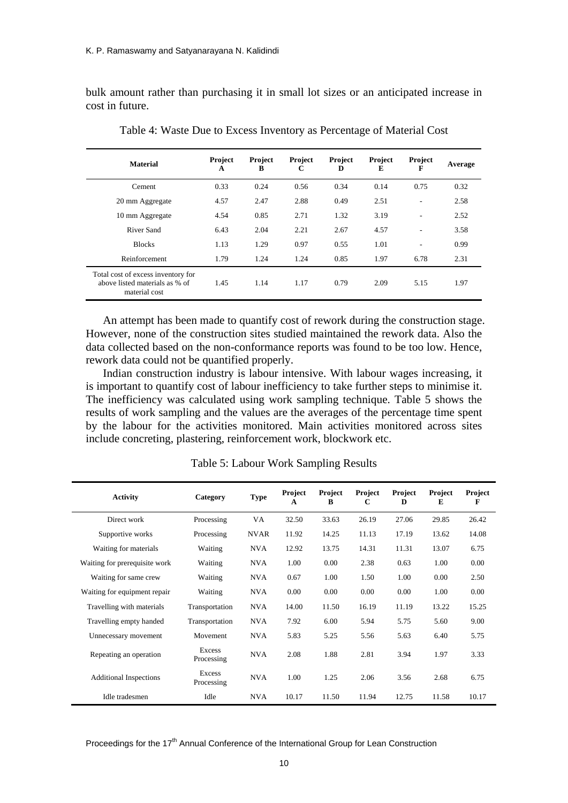bulk amount rather than purchasing it in small lot sizes or an anticipated increase in cost in future.

| <b>Material</b>                                                                       | <b>Project</b><br>A | Project<br>B | Project<br>C | Project<br>D | Project<br>E | Project<br>F | Average |
|---------------------------------------------------------------------------------------|---------------------|--------------|--------------|--------------|--------------|--------------|---------|
| Cement                                                                                | 0.33                | 0.24         | 0.56         | 0.34         | 0.14         | 0.75         | 0.32    |
| 20 mm Aggregate                                                                       | 4.57                | 2.47         | 2.88         | 0.49         | 2.51         | ٠            | 2.58    |
| 10 mm Aggregate                                                                       | 4.54                | 0.85         | 2.71         | 1.32         | 3.19         | ٠            | 2.52    |
| River Sand                                                                            | 6.43                | 2.04         | 2.21         | 2.67         | 4.57         | ٠            | 3.58    |
| <b>Blocks</b>                                                                         | 1.13                | 1.29         | 0.97         | 0.55         | 1.01         | ۰            | 0.99    |
| Reinforcement                                                                         | 1.79                | 1.24         | 1.24         | 0.85         | 1.97         | 6.78         | 2.31    |
| Total cost of excess inventory for<br>above listed materials as % of<br>material cost | 1.45                | 1.14         | 1.17         | 0.79         | 2.09         | 5.15         | 1.97    |

Table 4: Waste Due to Excess Inventory as Percentage of Material Cost

An attempt has been made to quantify cost of rework during the construction stage. However, none of the construction sites studied maintained the rework data. Also the data collected based on the non-conformance reports was found to be too low. Hence, rework data could not be quantified properly.

Indian construction industry is labour intensive. With labour wages increasing, it is important to quantify cost of labour inefficiency to take further steps to minimise it. The inefficiency was calculated using work sampling technique. Table 5 shows the results of work sampling and the values are the averages of the percentage time spent by the labour for the activities monitored. Main activities monitored across sites include concreting, plastering, reinforcement work, blockwork etc.

| <b>Activity</b>               | Category             | <b>Type</b> | Project<br>A | Project<br>B | Project<br>C | Project<br>D | Project<br>E | Project<br>F |
|-------------------------------|----------------------|-------------|--------------|--------------|--------------|--------------|--------------|--------------|
| Direct work                   | Processing           | VA          | 32.50        | 33.63        | 26.19        | 27.06        | 29.85        | 26.42        |
| Supportive works              | Processing           | <b>NVAR</b> | 11.92        | 14.25        | 11.13        | 17.19        | 13.62        | 14.08        |
| Waiting for materials         | Waiting              | <b>NVA</b>  | 12.92        | 13.75        | 14.31        | 11.31        | 13.07        | 6.75         |
| Waiting for prerequisite work | Waiting              | <b>NVA</b>  | 1.00         | 0.00         | 2.38         | 0.63         | 1.00         | 0.00         |
| Waiting for same crew         | Waiting              | <b>NVA</b>  | 0.67         | 1.00         | 1.50         | 1.00         | 0.00         | 2.50         |
| Waiting for equipment repair  | Waiting              | <b>NVA</b>  | 0.00         | 0.00         | 0.00         | 0.00         | 1.00         | 0.00         |
| Travelling with materials     | Transportation       | <b>NVA</b>  | 14.00        | 11.50        | 16.19        | 11.19        | 13.22        | 15.25        |
| Travelling empty handed       | Transportation       | <b>NVA</b>  | 7.92         | 6.00         | 5.94         | 5.75         | 5.60         | 9.00         |
| Unnecessary movement          | Movement             | <b>NVA</b>  | 5.83         | 5.25         | 5.56         | 5.63         | 6.40         | 5.75         |
| Repeating an operation        | Excess<br>Processing | <b>NVA</b>  | 2.08         | 1.88         | 2.81         | 3.94         | 1.97         | 3.33         |
| <b>Additional Inspections</b> | Excess<br>Processing | <b>NVA</b>  | 1.00         | 1.25         | 2.06         | 3.56         | 2.68         | 6.75         |
| Idle tradesmen                | Idle                 | <b>NVA</b>  | 10.17        | 11.50        | 11.94        | 12.75        | 11.58        | 10.17        |

Table 5: Labour Work Sampling Results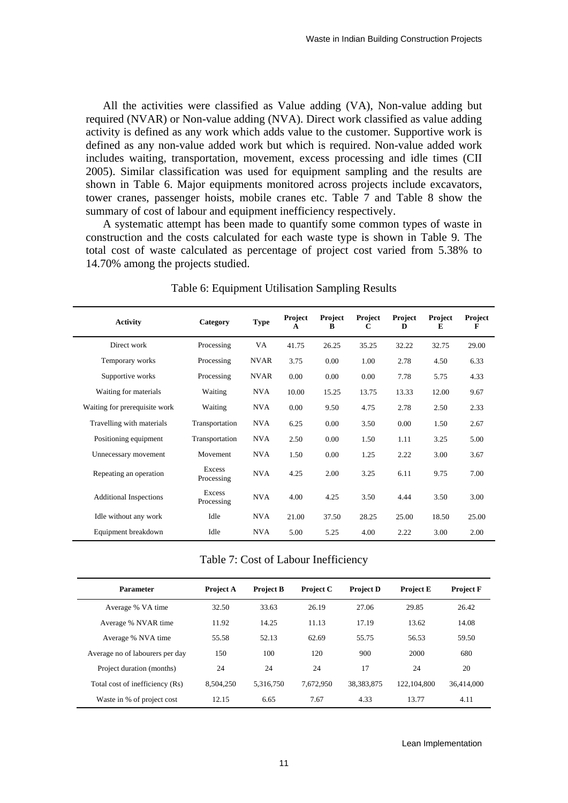All the activities were classified as Value adding (VA), Non-value adding but required (NVAR) or Non-value adding (NVA). Direct work classified as value adding activity is defined as any work which adds value to the customer. Supportive work is defined as any non-value added work but which is required. Non-value added work includes waiting, transportation, movement, excess processing and idle times (CII 2005). Similar classification was used for equipment sampling and the results are shown in Table 6. Major equipments monitored across projects include excavators, tower cranes, passenger hoists, mobile cranes etc. Table 7 and Table 8 show the summary of cost of labour and equipment inefficiency respectively.

A systematic attempt has been made to quantify some common types of waste in construction and the costs calculated for each waste type is shown in Table 9. The total cost of waste calculated as percentage of project cost varied from 5.38% to 14.70% among the projects studied.

| <b>Activity</b>               | Category             | <b>Type</b> | Project<br>A | <b>Project</b><br>B | Project<br>C | Project<br>D | Project<br>E | Project<br>F |
|-------------------------------|----------------------|-------------|--------------|---------------------|--------------|--------------|--------------|--------------|
| Direct work                   | Processing           | VA          | 41.75        | 26.25               | 35.25        | 32.22        | 32.75        | 29.00        |
| Temporary works               | Processing           | <b>NVAR</b> | 3.75         | 0.00                | 1.00         | 2.78         | 4.50         | 6.33         |
| Supportive works              | Processing           | <b>NVAR</b> | 0.00         | 0.00                | 0.00         | 7.78         | 5.75         | 4.33         |
| Waiting for materials         | Waiting              | <b>NVA</b>  | 10.00        | 15.25               | 13.75        | 13.33        | 12.00        | 9.67         |
| Waiting for prerequisite work | Waiting              | <b>NVA</b>  | 0.00         | 9.50                | 4.75         | 2.78         | 2.50         | 2.33         |
| Travelling with materials     | Transportation       | <b>NVA</b>  | 6.25         | 0.00                | 3.50         | 0.00         | 1.50         | 2.67         |
| Positioning equipment         | Transportation       | <b>NVA</b>  | 2.50         | 0.00                | 1.50         | 1.11         | 3.25         | 5.00         |
| Unnecessary movement          | Movement             | <b>NVA</b>  | 1.50         | 0.00                | 1.25         | 2.22         | 3.00         | 3.67         |
| Repeating an operation        | Excess<br>Processing | <b>NVA</b>  | 4.25         | 2.00                | 3.25         | 6.11         | 9.75         | 7.00         |
| <b>Additional Inspections</b> | Excess<br>Processing | <b>NVA</b>  | 4.00         | 4.25                | 3.50         | 4.44         | 3.50         | 3.00         |
| Idle without any work         | Idle                 | <b>NVA</b>  | 21.00        | 37.50               | 28.25        | 25.00        | 18.50        | 25.00        |
| Equipment breakdown           | Idle                 | <b>NVA</b>  | 5.00         | 5.25                | 4.00         | 2.22         | 3.00         | 2.00         |

Table 6: Equipment Utilisation Sampling Results

Table 7: Cost of Labour Inefficiency

| <b>Parameter</b>                | <b>Project A</b> | <b>Project B</b> | <b>Project C</b> | <b>Project D</b> | <b>Project E</b> | <b>Project F</b> |
|---------------------------------|------------------|------------------|------------------|------------------|------------------|------------------|
| Average % VA time               | 32.50            | 33.63            | 26.19            | 27.06            | 29.85            | 26.42            |
| Average % NVAR time             | 11.92            | 14.25            | 11.13            | 17.19            | 13.62            | 14.08            |
| Average % NVA time              | 55.58            | 52.13            | 62.69            | 55.75            | 56.53            | 59.50            |
| Average no of labourers per day | 150              | 100              | 120              | 900              | 2000             | 680              |
| Project duration (months)       | 24               | 24               | 24               | 17               | 24               | 20               |
| Total cost of inefficiency (Rs) | 8,504,250        | 5.316.750        | 7,672,950        | 38.383.875       | 122,104,800      | 36.414,000       |
| Waste in % of project cost      | 12.15            | 6.65             | 7.67             | 4.33             | 13.77            | 4.11             |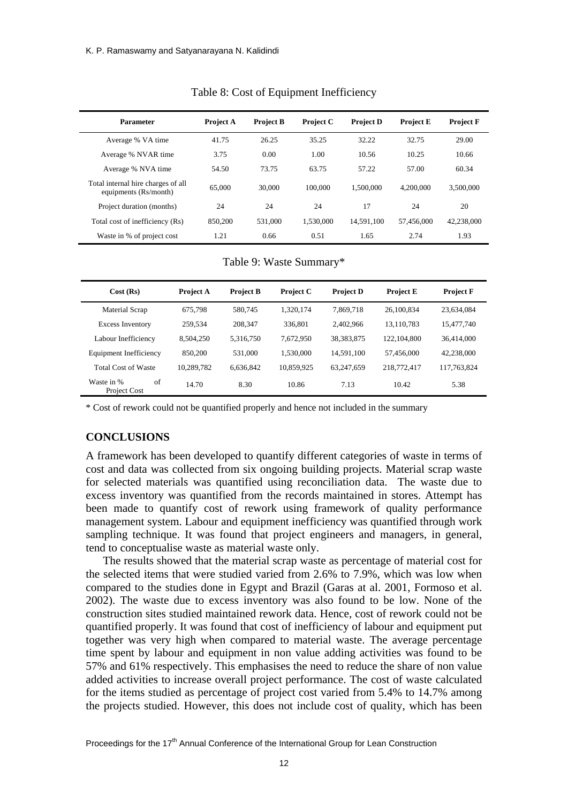| <b>Parameter</b>                                            | <b>Project A</b> | <b>Project B</b> | <b>Project C</b> | <b>Project D</b> | <b>Project E</b> | <b>Project F</b> |
|-------------------------------------------------------------|------------------|------------------|------------------|------------------|------------------|------------------|
| Average % VA time                                           | 41.75            | 26.25            | 35.25            | 32.22            | 32.75            | 29.00            |
| Average % NVAR time                                         | 3.75             | 0.00             | 1.00             | 10.56            | 10.25            | 10.66            |
| Average % NVA time                                          | 54.50            | 73.75            | 63.75            | 57.22            | 57.00            | 60.34            |
| Total internal hire charges of all<br>equipments (Rs/month) | 65,000           | 30,000           | 100,000          | 1.500.000        | 4,200,000        | 3,500,000        |
| Project duration (months)                                   | 24               | 24               | 24               | 17               | 24               | 20               |
| Total cost of inefficiency (Rs)                             | 850,200          | 531,000          | 1.530,000        | 14.591.100       | 57,456,000       | 42,238,000       |
| Waste in % of project cost                                  | 1.21             | 0.66             | 0.51             | 1.65             | 2.74             | 1.93             |

Table 8: Cost of Equipment Inefficiency

Table 9: Waste Summary\*

| Cost(Rs)                         | <b>Project A</b> | <b>Project B</b> | <b>Project C</b> | <b>Project D</b> | <b>Project E</b> | <b>Project F</b> |
|----------------------------------|------------------|------------------|------------------|------------------|------------------|------------------|
| Material Scrap                   | 675.798          | 580,745          | 1,320,174        | 7,869,718        | 26,100,834       | 23,634,084       |
| <b>Excess Inventory</b>          | 259.534          | 208,347          | 336,801          | 2,402,966        | 13,110,783       | 15,477,740       |
| Labour Inefficiency              | 8.504.250        | 5,316,750        | 7.672.950        | 38, 383, 875     | 122.104.800      | 36,414,000       |
| Equipment Inefficiency           | 850,200          | 531,000          | 1,530,000        | 14.591.100       | 57.456,000       | 42,238,000       |
| <b>Total Cost of Waste</b>       | 10,289,782       | 6,636,842        | 10,859,925       | 63,247,659       | 218,772,417      | 117,763,824      |
| of<br>Waste in %<br>Project Cost | 14.70            | 8.30             | 10.86            | 7.13             | 10.42            | 5.38             |

\* Cost of rework could not be quantified properly and hence not included in the summary

#### **CONCLUSIONS**

A framework has been developed to quantify different categories of waste in terms of cost and data was collected from six ongoing building projects. Material scrap waste for selected materials was quantified using reconciliation data. The waste due to excess inventory was quantified from the records maintained in stores. Attempt has been made to quantify cost of rework using framework of quality performance management system. Labour and equipment inefficiency was quantified through work sampling technique. It was found that project engineers and managers, in general, tend to conceptualise waste as material waste only.

The results showed that the material scrap waste as percentage of material cost for the selected items that were studied varied from 2.6% to 7.9%, which was low when compared to the studies done in Egypt and Brazil (Garas at al. 2001, Formoso et al. 2002). The waste due to excess inventory was also found to be low. None of the construction sites studied maintained rework data. Hence, cost of rework could not be quantified properly. It was found that cost of inefficiency of labour and equipment put together was very high when compared to material waste. The average percentage time spent by labour and equipment in non value adding activities was found to be 57% and 61% respectively. This emphasises the need to reduce the share of non value added activities to increase overall project performance. The cost of waste calculated for the items studied as percentage of project cost varied from 5.4% to 14.7% among the projects studied. However, this does not include cost of quality, which has been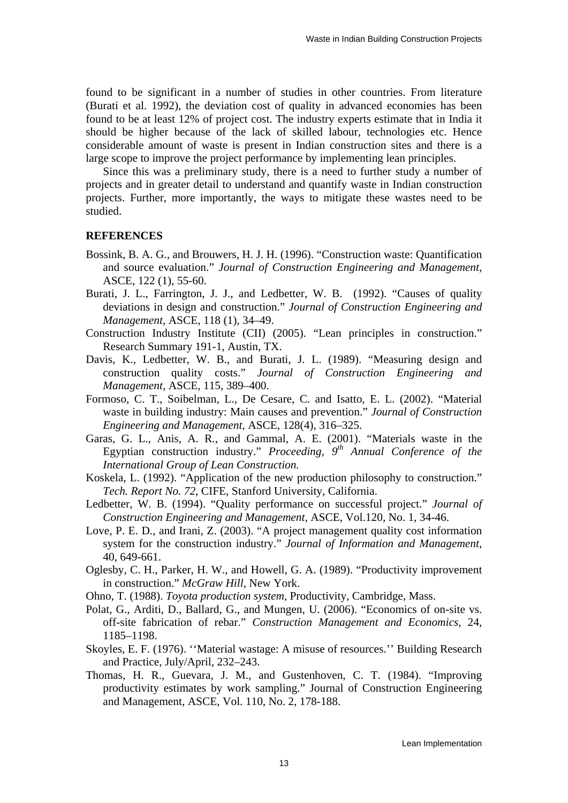found to be significant in a number of studies in other countries. From literature (Burati et al. 1992), the deviation cost of quality in advanced economies has been found to be at least 12% of project cost. The industry experts estimate that in India it should be higher because of the lack of skilled labour, technologies etc. Hence considerable amount of waste is present in Indian construction sites and there is a large scope to improve the project performance by implementing lean principles.

Since this was a preliminary study, there is a need to further study a number of projects and in greater detail to understand and quantify waste in Indian construction projects. Further, more importantly, the ways to mitigate these wastes need to be studied.

#### **REFERENCES**

- Bossink, B. A. G., and Brouwers, H. J. H. (1996). "Construction waste: Quantification and source evaluation." *Journal of Construction Engineering and Management,*  ASCE, 122 (1), 55-60.
- Burati, J. L., Farrington, J. J., and Ledbetter, W. B. (1992). "Causes of quality deviations in design and construction." *Journal of Construction Engineering and Management,* ASCE, 118 (1), 34–49.
- Construction Industry Institute (CII) (2005). "Lean principles in construction." Research Summary 191-1, Austin, TX.
- Davis, K., Ledbetter, W. B., and Burati, J. L. (1989). "Measuring design and construction quality costs." *Journal of Construction Engineering and Management,* ASCE, 115, 389–400.
- Formoso, C. T., Soibelman, L., De Cesare, C. and Isatto, E. L. (2002). "Material waste in building industry: Main causes and prevention." *Journal of Construction Engineering and Management,* ASCE, 128(4), 316–325.
- Garas, G. L., Anis, A. R., and Gammal, A. E. (2001). "Materials waste in the Egyptian construction industry." *Proceeding, 9th Annual Conference of the International Group of Lean Construction.*
- Koskela, L. (1992). "Application of the new production philosophy to construction." *Tech. Report No. 72*, CIFE, Stanford University, California.
- Ledbetter, W. B. (1994). "Quality performance on successful project." *Journal of Construction Engineering and Management,* ASCE, Vol.120, No. 1, 34-46.
- Love, P. E. D., and Irani, Z. (2003). "A project management quality cost information system for the construction industry." *Journal of Information and Management*, 40, 649-661.
- Oglesby, C. H., Parker, H. W., and Howell, G. A. (1989). "Productivity improvement in construction." *McGraw Hill*, New York.
- Ohno, T. (1988). *Toyota production system*, Productivity, Cambridge, Mass.
- Polat, G., Arditi, D., Ballard, G., and Mungen, U. (2006). "Economics of on-site vs. off-site fabrication of rebar." *Construction Management and Economics*, 24, 1185–1198.
- Skoyles, E. F. (1976). ''Material wastage: A misuse of resources.'' Building Research and Practice, July/April, 232–243.
- Thomas, H. R., Guevara, J. M., and Gustenhoven, C. T. (1984). "Improving productivity estimates by work sampling." Journal of Construction Engineering and Management, ASCE, Vol. 110, No. 2, 178-188.